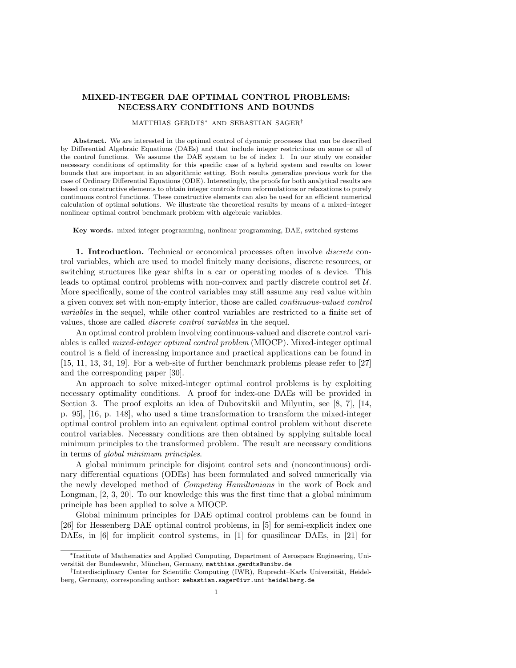# MIXED-INTEGER DAE OPTIMAL CONTROL PROBLEMS: NECESSARY CONDITIONS AND BOUNDS

### MATTHIAS GERDTS<sup>∗</sup> AND SEBASTIAN SAGER†

Abstract. We are interested in the optimal control of dynamic processes that can be described by Differential Algebraic Equations (DAEs) and that include integer restrictions on some or all of the control functions. We assume the DAE system to be of index 1. In our study we consider necessary conditions of optimality for this specific case of a hybrid system and results on lower bounds that are important in an algorithmic setting. Both results generalize previous work for the case of Ordinary Differential Equations (ODE). Interestingly, the proofs for both analytical results are based on constructive elements to obtain integer controls from reformulations or relaxations to purely continuous control functions. These constructive elements can also be used for an efficient numerical calculation of optimal solutions. We illustrate the theoretical results by means of a mixed–integer nonlinear optimal control benchmark problem with algebraic variables.

Key words. mixed integer programming, nonlinear programming, DAE, switched systems

1. Introduction. Technical or economical processes often involve *discrete* control variables, which are used to model finitely many decisions, discrete resources, or switching structures like gear shifts in a car or operating modes of a device. This leads to optimal control problems with non-convex and partly discrete control set U. More specifically, some of the control variables may still assume any real value within a given convex set with non-empty interior, those are called continuous-valued control variables in the sequel, while other control variables are restricted to a finite set of values, those are called discrete control variables in the sequel.

An optimal control problem involving continuous-valued and discrete control variables is called mixed-integer optimal control problem (MIOCP). Mixed-integer optimal control is a field of increasing importance and practical applications can be found in [15, 11, 13, 34, 19]. For a web-site of further benchmark problems please refer to [27] and the corresponding paper [30].

An approach to solve mixed-integer optimal control problems is by exploiting necessary optimality conditions. A proof for index-one DAEs will be provided in Section 3. The proof exploits an idea of Dubovitskii and Milyutin, see [8, 7], [14, p. 95], [16, p. 148], who used a time transformation to transform the mixed-integer optimal control problem into an equivalent optimal control problem without discrete control variables. Necessary conditions are then obtained by applying suitable local minimum principles to the transformed problem. The result are necessary conditions in terms of global minimum principles.

A global minimum principle for disjoint control sets and (noncontinuous) ordinary differential equations (ODEs) has been formulated and solved numerically via the newly developed method of Competing Hamiltonians in the work of Bock and Longman, [2, 3, 20]. To our knowledge this was the first time that a global minimum principle has been applied to solve a MIOCP.

Global minimum principles for DAE optimal control problems can be found in [26] for Hessenberg DAE optimal control problems, in [5] for semi-explicit index one DAEs, in [6] for implicit control systems, in [1] for quasilinear DAEs, in [21] for

<sup>∗</sup>Institute of Mathematics and Applied Computing, Department of Aerospace Engineering, Universität der Bundeswehr, München, Germany, matthias.gerdts@unibw.de

<sup>&</sup>lt;sup>†</sup>Interdisciplinary Center for Scientific Computing (IWR), Ruprecht–Karls Universität, Heidelberg, Germany, corresponding author: sebastian.sager@iwr.uni-heidelberg.de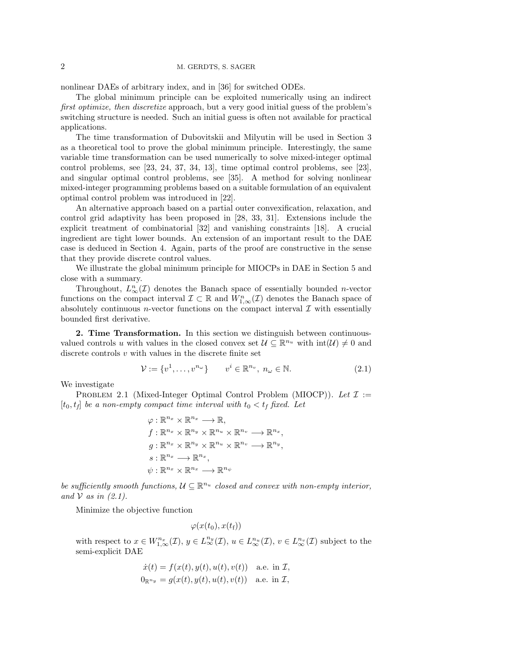nonlinear DAEs of arbitrary index, and in [36] for switched ODEs.

The global minimum principle can be exploited numerically using an indirect first optimize, then discretize approach, but a very good initial guess of the problem's switching structure is needed. Such an initial guess is often not available for practical applications.

The time transformation of Dubovitskii and Milyutin will be used in Section 3 as a theoretical tool to prove the global minimum principle. Interestingly, the same variable time transformation can be used numerically to solve mixed-integer optimal control problems, see [23, 24, 37, 34, 13], time optimal control problems, see [23], and singular optimal control problems, see [35]. A method for solving nonlinear mixed-integer programming problems based on a suitable formulation of an equivalent optimal control problem was introduced in [22].

An alternative approach based on a partial outer convexification, relaxation, and control grid adaptivity has been proposed in [28, 33, 31]. Extensions include the explicit treatment of combinatorial [32] and vanishing constraints [18]. A crucial ingredient are tight lower bounds. An extension of an important result to the DAE case is deduced in Section 4. Again, parts of the proof are constructive in the sense that they provide discrete control values.

We illustrate the global minimum principle for MIOCPs in DAE in Section 5 and close with a summary.

Throughout,  $L_{\infty}^n(\mathcal{I})$  denotes the Banach space of essentially bounded *n*-vector functions on the compact interval  $\mathcal{I} \subset \mathbb{R}$  and  $W_{1,\infty}^n(\mathcal{I})$  denotes the Banach space of absolutely continuous *n*-vector functions on the compact interval  $\mathcal I$  with essentially bounded first derivative.

2. Time Transformation. In this section we distinguish between continuousvalued controls u with values in the closed convex set  $\mathcal{U} \subseteq \mathbb{R}^{n_u}$  with  $\text{int}(\mathcal{U}) \neq 0$  and discrete controls v with values in the discrete finite set

$$
\mathcal{V} := \{v^1, \dots, v^{n_\omega}\} \qquad v^i \in \mathbb{R}^{n_v}, n_\omega \in \mathbb{N}.
$$
\n
$$
(2.1)
$$

We investigate

PROBLEM 2.1 (Mixed-Integer Optimal Control Problem (MIOCP)). Let  $\mathcal I :=$  $[t_0, t_f]$  be a non-empty compact time interval with  $t_0 < t_f$  fixed. Let

$$
\varphi: \mathbb{R}^{n_x} \times \mathbb{R}^{n_x} \longrightarrow \mathbb{R},
$$
  
\n
$$
f: \mathbb{R}^{n_x} \times \mathbb{R}^{n_y} \times \mathbb{R}^{n_u} \times \mathbb{R}^{n_v} \longrightarrow \mathbb{R}^{n_x},
$$
  
\n
$$
g: \mathbb{R}^{n_x} \times \mathbb{R}^{n_y} \times \mathbb{R}^{n_u} \times \mathbb{R}^{n_v} \longrightarrow \mathbb{R}^{n_y},
$$
  
\n
$$
s: \mathbb{R}^{n_x} \longrightarrow \mathbb{R}^{n_x},
$$
  
\n
$$
\psi: \mathbb{R}^{n_x} \times \mathbb{R}^{n_x} \longrightarrow \mathbb{R}^{n_\psi}
$$

be sufficiently smooth functions,  $\mathcal{U} \subseteq \mathbb{R}^{n_u}$  closed and convex with non-empty interior, and  $V$  as in  $(2.1)$ .

Minimize the objective function

 $\varphi(x(t_0), x(t_{\rm f}))$ 

with respect to  $x \in W^{n_x}_{1,\infty}(\mathcal{I}), y \in L^{n_y}_{\infty}(\mathcal{I}), u \in L^{n_u}_{\infty}(\mathcal{I}), v \in L^{n_v}_{\infty}(\mathcal{I})$  subject to the semi-explicit DAE

$$
\dot{x}(t) = f(x(t), y(t), u(t), v(t)) \quad \text{a.e. in } \mathcal{I},
$$
  

$$
0_{\mathbb{R}^{n_y}} = g(x(t), y(t), u(t), v(t)) \quad \text{a.e. in } \mathcal{I},
$$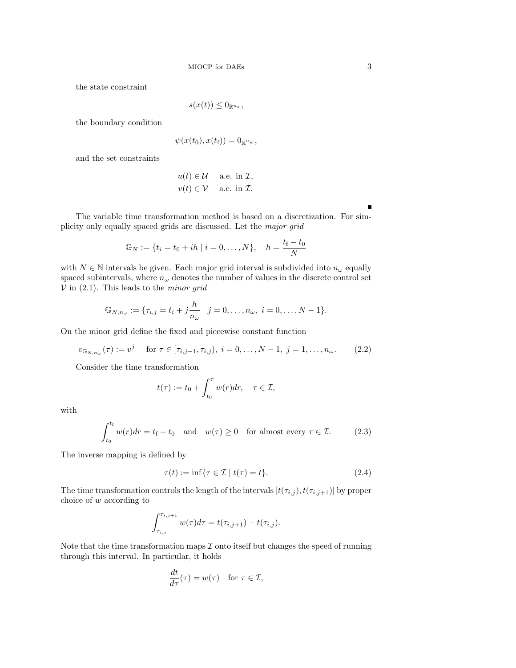the state constraint

$$
s(x(t)) \leq 0_{\mathbb{R}^{n_s}},
$$

the boundary condition

$$
\psi(x(t_0), x(t_{\rm f})) = 0_{\mathbb{R}^{n_{\psi}}},
$$

and the set constraints

$$
u(t) \in \mathcal{U} \quad \text{ a.e. in } \mathcal{I},
$$
  
 
$$
v(t) \in \mathcal{V} \quad \text{ a.e. in } \mathcal{I}.
$$

Ē

The variable time transformation method is based on a discretization. For simplicity only equally spaced grids are discussed. Let the major grid

$$
\mathbb{G}_N := \{ t_i = t_0 + ih \mid i = 0, \dots, N \}, \quad h = \frac{t_f - t_0}{N}
$$

with  $N \in \mathbb{N}$  intervals be given. Each major grid interval is subdivided into  $n_{\omega}$  equally spaced subintervals, where  $n_{\omega}$  denotes the number of values in the discrete control set  $V$  in (2.1). This leads to the *minor grid* 

$$
\mathbb{G}_{N,n_{\omega}} := \{\tau_{i,j} = t_i + j\frac{h}{n_{\omega}} \mid j = 0, \ldots, n_{\omega}, i = 0, \ldots, N-1\}.
$$

On the minor grid define the fixed and piecewise constant function

$$
v_{\mathbb{G}_{N,n_{\omega}}}(\tau) := v^{j} \quad \text{for } \tau \in [\tau_{i,j-1}, \tau_{i,j}), \ i = 0, \dots, N-1, \ j = 1, \dots, n_{\omega}.
$$
 (2.2)

Consider the time transformation

$$
t(\tau):=t_0+\int_{t_0}^\tau w(r)dr,\quad \tau\in\mathcal{I},
$$

with

$$
\int_{t_0}^{t_f} w(r) dr = t_f - t_0 \quad \text{and} \quad w(\tau) \ge 0 \quad \text{for almost every } \tau \in \mathcal{I}.
$$
 (2.3)

The inverse mapping is defined by

$$
\tau(t) := \inf \{ \tau \in \mathcal{I} \mid t(\tau) = t \}. \tag{2.4}
$$

The time transformation controls the length of the intervals  $[t(\tau_{i,j}), t(\tau_{i,j+1})]$  by proper choice of w according to

$$
\int_{\tau_{i,j}}^{\tau_{i,j+1}} w(\tau) d\tau = t(\tau_{i,j+1}) - t(\tau_{i,j}).
$$

Note that the time transformation maps  $\mathcal I$  onto itself but changes the speed of running through this interval. In particular, it holds

$$
\frac{dt}{d\tau}(\tau) = w(\tau) \quad \text{for } \tau \in \mathcal{I},
$$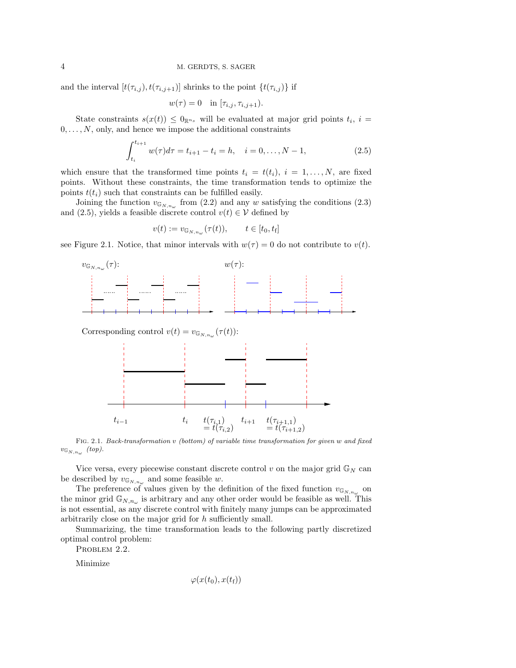and the interval  $[t(\tau_{i,j}), t(\tau_{i,j+1})]$  shrinks to the point  $\{t(\tau_{i,j})\}$  if

$$
w(\tau) = 0
$$
 in  $[\tau_{i,j}, \tau_{i,j+1}).$ 

State constraints  $s(x(t)) \leq 0_{\mathbb{R}^{n_s}}$  will be evaluated at major grid points  $t_i$ ,  $i =$  $0, \ldots, N$ , only, and hence we impose the additional constraints

$$
\int_{t_i}^{t_{i+1}} w(\tau) d\tau = t_{i+1} - t_i = h, \quad i = 0, \dots, N - 1,
$$
\n(2.5)

which ensure that the transformed time points  $t_i = t(t_i), i = 1, \ldots, N$ , are fixed points. Without these constraints, the time transformation tends to optimize the points  $t(t_i)$  such that constraints can be fulfilled easily.

Joining the function  $v_{\mathbb{G}_{N,n_{\omega}}}$  from (2.2) and any w satisfying the conditions (2.3) and (2.5), yields a feasible discrete control  $v(t) \in V$  defined by

$$
v(t) := v_{\mathbb{G}_{N,n_{\omega}}}(\tau(t)), \qquad t \in [t_0, t_f]
$$

see Figure 2.1. Notice, that minor intervals with  $w(\tau) = 0$  do not contribute to  $v(t)$ .



 $= t(\tau_{i,2})$ Fig. 2.1. Back-transformation v (bottom) of variable time transformation for given w and fixed  $v_{\mathbb{G}_{N,n_{\omega}}}$  (top).

 $t(\tau_{i+1,1})$  $= t(\tau_{i+1,2})$ 

 $t_{i-1}$  t<sub>i</sub>  $t_i$  t<sub>i+1</sub> t<sub>i+1</sub>

Vice versa, every piecewise constant discrete control v on the major grid  $\mathbb{G}_N$  can be described by  $v_{\mathbb{G}_{N,n_{\omega}}}$  and some feasible w.

The preference of values given by the definition of the fixed function  $v_{\mathbb{G}_{N,n_{\omega}}}$  on the minor grid  $\mathbb{G}_{N,n_{\omega}}$  is arbitrary and any other order would be feasible as well. This is not essential, as any discrete control with finitely many jumps can be approximated arbitrarily close on the major grid for h sufficiently small.

Summarizing, the time transformation leads to the following partly discretized optimal control problem:

PROBLEM 2.2.

Minimize

$$
\varphi(x(t_0),x(t_{\mathrm{f}}))
$$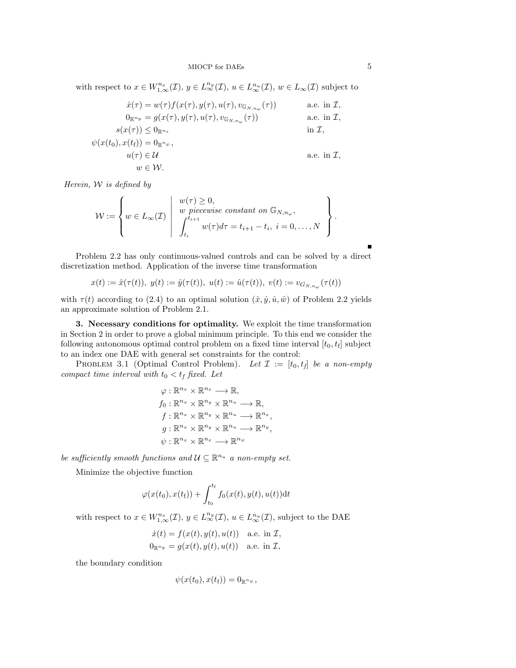with respect to  $x \in W^{n_x}_{1,\infty}(\mathcal{I}), y \in L^{n_y}_{\infty}(\mathcal{I}), u \in L^{n_u}_{\infty}(\mathcal{I}), w \in L_{\infty}(\mathcal{I})$  subject to

$$
\dot{x}(\tau) = w(\tau) f(x(\tau), y(\tau), u(\tau), v_{\mathbb{G}_{N,n_{\omega}}}(\tau)) \qquad \text{a.e. in } \mathcal{I},
$$
  
\n
$$
0_{\mathbb{R}^{n_y}} = g(x(\tau), y(\tau), u(\tau), v_{\mathbb{G}_{N,n_{\omega}}}(\tau)) \qquad \text{a.e. in } \mathcal{I},
$$
  
\n
$$
s(x(\tau)) \leq 0_{\mathbb{R}^{n_s}} \qquad \text{in } \mathcal{I},
$$
  
\n
$$
\psi(x(t_0), x(t_f)) = 0_{\mathbb{R}^{n_{\psi}}},
$$
  
\n
$$
u(\tau) \in \mathcal{U} \qquad \text{a.e. in } \mathcal{I},
$$
  
\n
$$
w \in \mathcal{W}.
$$

Herein,  $W$  is defined by

$$
\mathcal{W} := \left\{ w \in L_{\infty}(\mathcal{I}) \middle| \begin{array}{c} w(\tau) \geq 0, \\ w \text{ piecewise constant on } \mathbb{G}_{N,n_{\omega}}, \\ \int_{t_i}^{t_{i+1}} w(\tau) d\tau = t_{i+1} - t_i, \ i = 0, \ldots, N \end{array} \right\}.
$$

Problem 2.2 has only continuous-valued controls and can be solved by a direct discretization method. Application of the inverse time transformation

 $x(t) := \hat{x}(\tau(t)), \ y(t) := \hat{y}(\tau(t)), \ u(t) := \hat{u}(\tau(t)), \ v(t) := v_{G_{N,n_{\omega}}}(\tau(t))$ 

with  $\tau(t)$  according to (2.4) to an optimal solution  $(\hat{x}, \hat{y}, \hat{u}, \hat{w})$  of Problem 2.2 yields an approximate solution of Problem 2.1.

3. Necessary conditions for optimality. We exploit the time transformation in Section 2 in order to prove a global minimum principle. To this end we consider the following autonomous optimal control problem on a fixed time interval  $[t_0, t_f]$  subject to an index one DAE with general set constraints for the control:

PROBLEM 3.1 (Optimal Control Problem). Let  $\mathcal{I} := [t_0, t_f]$  be a non-empty compact time interval with  $t_0 < t_f$  fixed. Let

$$
\varphi: \mathbb{R}^{n_x} \times \mathbb{R}^{n_x} \longrightarrow \mathbb{R},
$$
  
\n
$$
f_0: \mathbb{R}^{n_x} \times \mathbb{R}^{n_y} \times \mathbb{R}^{n_u} \longrightarrow \mathbb{R},
$$
  
\n
$$
f: \mathbb{R}^{n_x} \times \mathbb{R}^{n_y} \times \mathbb{R}^{n_u} \longrightarrow \mathbb{R}^{n_x},
$$
  
\n
$$
g: \mathbb{R}^{n_x} \times \mathbb{R}^{n_y} \times \mathbb{R}^{n_u} \longrightarrow \mathbb{R}^{n_y},
$$
  
\n
$$
\psi: \mathbb{R}^{n_x} \times \mathbb{R}^{n_x} \longrightarrow \mathbb{R}^{n_\psi}
$$

be sufficiently smooth functions and  $\mathcal{U} \subseteq \mathbb{R}^{n_u}$  a non-empty set.

Minimize the objective function

$$
\varphi(x(t_0), x(t_f)) + \int_{t_0}^{t_f} f_0(x(t), y(t), u(t)) dt
$$

with respect to  $x \in W^{n_x}_{1,\infty}(\mathcal{I}), y \in L^{n_y}_{\infty}(\mathcal{I}), u \in L^{n_u}_{\infty}(\mathcal{I}),$  subject to the DAE

$$
\dot{x}(t) = f(x(t), y(t), u(t)) \quad \text{a.e. in } \mathcal{I},
$$
  

$$
0_{\mathbb{R}^{n_y}} = g(x(t), y(t), u(t)) \quad \text{a.e. in } \mathcal{I},
$$

the boundary condition

$$
\psi(x(t_0),x(t_{\mathrm{f}}))=0_{\mathbb{R}^{n_{\psi}}},
$$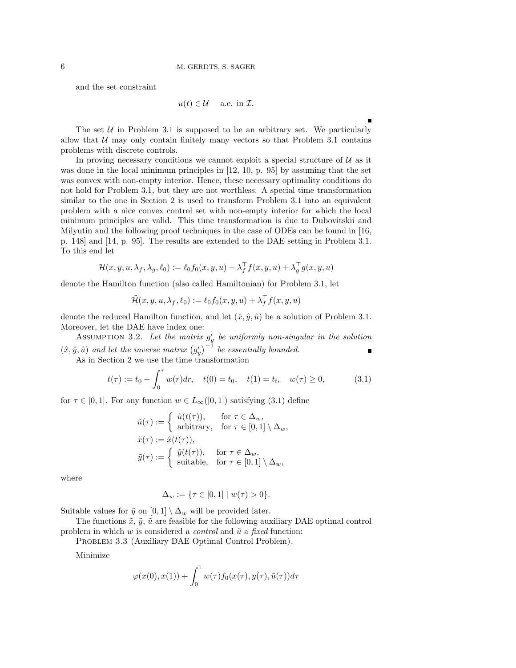and the set constraint

$$
u(t) \in \mathcal{U} \quad \text{ a.e. in } \mathcal{I}.
$$

The set  $U$  in Problem 3.1 is supposed to be an arbitrary set. We particularly allow that  $U$  may only contain finitely many vectors so that Problem 3.1 contains problems with discrete controls.

In proving necessary conditions we cannot exploit a special structure of  $U$  as it was done in the local minimum principles in [12, 10, p. 95] by assuming that the set was convex with non-empty interior. Hence, these necessary optimality conditions do not hold for Problem 3.1, but they are not worthless. A special time transformation similar to the one in Section 2 is used to transform Problem 3.1 into an equivalent problem with a nice convex control set with non-empty interior for which the local minimum principles are valid. This time transformation is due to Dubovitskii and Milyutin and the following proof techniques in the case of ODEs can be found in [16, p. 148] and [14, p. 95]. The results are extended to the DAE setting in Problem 3.1. To this end let

$$
\mathcal{H}(x, y, u, \lambda_f, \lambda_g, \ell_0) := \ell_0 f_0(x, y, u) + \lambda_f^{\top} f(x, y, u) + \lambda_g^{\top} g(x, y, u)
$$

denote the Hamilton function (also called Hamiltonian) for Problem 3.1, let

$$
\tilde{\mathcal{H}}(x,y,u,\lambda_{f},\ell_{0}):=\ell_{0}f_{0}(x,y,u)+\lambda_{f}^{\top}f(x,y,u)
$$

denote the reduced Hamilton function, and let  $(\hat{x}, \hat{y}, \hat{u})$  be a solution of Problem 3.1. Moreover, let the DAE have index one:

ASSUMPTION 3.2. Let the matrix  $g'_y$  be uniformly non-singular in the solution  $(\hat{x}, \hat{y}, \hat{u})$  and let the inverse matrix  $(g'_y)^{-1}$  be essentially bounded. Е

As in Section 2 we use the time transformation\n
$$
t(z) = t + \int_{0}^{T} \frac{u(z)}{z^{2}} \, dz = t(0) - t + \frac{t(1)}{2} - \frac{t}{2} = \frac{u(z)}{2}
$$

$$
t(\tau) := t_0 + \int_0^{\tau} w(r) dr, \quad t(0) = t_0, \quad t(1) = t_f, \quad w(\tau) \ge 0,
$$
 (3.1)

for  $\tau \in [0,1]$ . For any function  $w \in L_\infty([0,1])$  satisfying  $(3.1)$  define

$$
\tilde{u}(\tau) := \begin{cases}\n\hat{u}(t(\tau)), & \text{for } \tau \in \Delta_w, \\
\text{arbitrary}, & \text{for } \tau \in [0,1] \setminus \Delta_w, \\
\tilde{x}(\tau) := \hat{x}(t(\tau)), \\
\tilde{y}(\tau) := \begin{cases}\n\hat{y}(t(\tau)), & \text{for } \tau \in \Delta_w, \\
\text{suitable}, & \text{for } \tau \in [0,1] \setminus \Delta_w,\n\end{cases}\n\end{cases}
$$

where

$$
\Delta_w := \{ \tau \in [0,1] \mid w(\tau) > 0 \}.
$$

Suitable values for  $\tilde{y}$  on  $[0, 1] \setminus \Delta_w$  will be provided later.

The functions  $\tilde{x}, \tilde{y}, \tilde{u}$  are feasible for the following auxiliary DAE optimal control problem in which w is considered a *control* and  $\tilde{u}$  a *fixed* function:

PROBLEM 3.3 (Auxiliary DAE Optimal Control Problem).

Minimize

$$
\varphi(x(0), x(1)) + \int_0^1 w(\tau) f_0(x(\tau), y(\tau), \tilde{u}(\tau)) d\tau
$$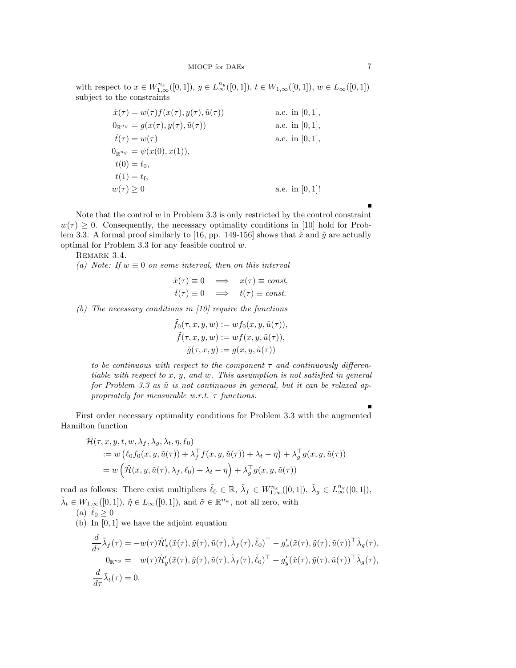with respect to  $x \in W^{n_x}_{1,\infty}([0,1])$ ,  $y \in L^{n_y}_{\infty}([0,1])$ ,  $t \in W_{1,\infty}([0,1])$ ,  $w \in L_{\infty}([0,1])$ subject to the constraints

$$
\dot{x}(\tau) = w(\tau) f(x(\tau), y(\tau), \tilde{u}(\tau))
$$
\na.e. in [0, 1],  
\n
$$
0_{\mathbb{R}^{n_y}} = g(x(\tau), y(\tau), \tilde{u}(\tau))
$$
\na.e. in [0, 1],  
\n
$$
\dot{t}(\tau) = w(\tau)
$$
\na.e. in [0, 1],  
\n
$$
0_{\mathbb{R}^{n_\psi}} = \psi(x(0), x(1)),
$$
  
\n
$$
t(0) = t_0,
$$
  
\n
$$
t(1) = t_f,
$$
  
\n
$$
w(\tau) \ge 0
$$
\na.e. in [0, 1]!

Note that the control  $w$  in Problem 3.3 is only restricted by the control constraint  $w(\tau) \geq 0$ . Consequently, the necessary optimality conditions in [10] hold for Problem 3.3. A formal proof similarly to [16, pp. 149-156] shows that  $\tilde{x}$  and  $\tilde{y}$  are actually optimal for Problem 3.3 for any feasible control  $w$ .

REMARK 3.4.

(a) Note: If  $w \equiv 0$  on some interval, then on this interval

$$
\dot{x}(\tau) \equiv 0 \quad \Longrightarrow \quad x(\tau) \equiv const,
$$
  

$$
\dot{t}(\tau) \equiv 0 \quad \Longrightarrow \quad t(\tau) \equiv const.
$$

(b) The necessary conditions in  $[10]$  require the functions

$$
\tilde{f}_0(\tau, x, y, w) := wf_0(x, y, \tilde{u}(\tau)),
$$
  

$$
\tilde{f}(\tau, x, y, w) := wf(x, y, \tilde{u}(\tau)),
$$
  

$$
\tilde{g}(\tau, x, y) := g(x, y, \tilde{u}(\tau))
$$

to be continuous with respect to the component  $\tau$  and continuously differentiable with respect to x, y, and w. This assumption is not satisfied in general for Problem 3.3 as  $\tilde{u}$  is not continuous in general, but it can be relaxed appropriately for measurable w.r.t.  $\tau$  functions.

First order necessary optimality conditions for Problem 3.3 with the augmented Hamilton function

$$
\tilde{\mathcal{H}}(\tau, x, y, t, w, \lambda_f, \lambda_g, \lambda_t, \eta, \ell_0) \n:= w (\ell_0 f_0(x, y, \tilde{u}(\tau)) + \lambda_f^{\top} f(x, y, \tilde{u}(\tau)) + \lambda_t - \eta) + \lambda_g^{\top} g(x, y, \tilde{u}(\tau)) \n= w (\tilde{\mathcal{H}}(x, y, \tilde{u}(\tau), \lambda_f, \ell_0) + \lambda_t - \eta) + \lambda_g^{\top} g(x, y, \tilde{u}(\tau))
$$

read as follows: There exist multipliers  $\tilde{\ell}_0 \in \mathbb{R}$ ,  $\tilde{\lambda}_f \in W^{n_x}_{1,\infty}([0,1])$ ,  $\tilde{\lambda}_g \in L^{n_y}_{\infty}([0,1])$ ,  $\tilde{\lambda}_t \in W_{1,\infty}([0,1])$ ,  $\tilde{\eta} \in L_\infty([0,1])$ , and  $\tilde{\sigma} \in \mathbb{R}^{n_\psi}$ , not all zero, with

(a) 
$$
\tilde{\ell}_0 \geq 0
$$

(b) In [0, 1] we have the adjoint equation

$$
\frac{d}{d\tau}\tilde{\lambda}_f(\tau) = -w(\tau)\tilde{\mathcal{H}}'_x(\tilde{x}(\tau), \tilde{y}(\tau), \tilde{u}(\tau), \tilde{\lambda}_f(\tau), \tilde{\ell}_0)^{\top} - g'_x(\tilde{x}(\tau), \tilde{y}(\tau), \tilde{u}(\tau))^{\top} \tilde{\lambda}_g(\tau),
$$
  
\n
$$
0_{\mathbb{R}^{n_y}} = w(\tau)\tilde{\mathcal{H}}'_y(\tilde{x}(\tau), \tilde{y}(\tau), \tilde{u}(\tau), \tilde{\lambda}_f(\tau), \tilde{\ell}_0)^{\top} + g'_y(\tilde{x}(\tau), \tilde{y}(\tau), \tilde{u}(\tau))^{\top} \tilde{\lambda}_g(\tau),
$$
  
\n
$$
\frac{d}{d\tau}\tilde{\lambda}_t(\tau) = 0.
$$

Ē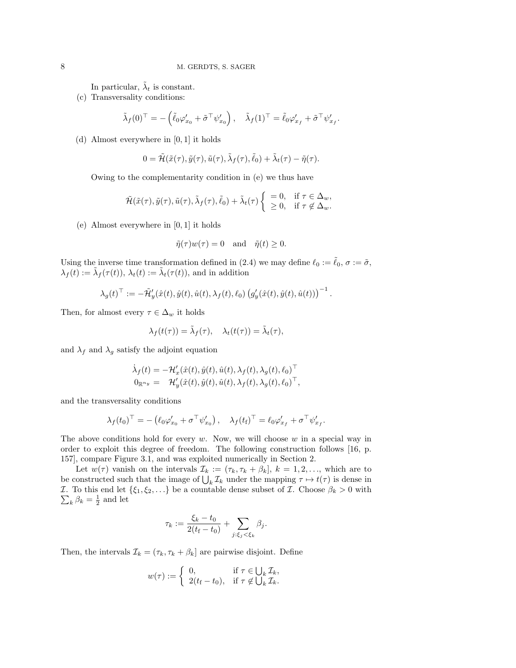In particular,  $\tilde{\lambda}_t$  is constant.

(c) Transversality conditions:

$$
\tilde{\lambda}_f(0)^\top = -\left(\tilde{\ell}_0 \varphi_{x_0}' + \tilde{\sigma}^\top \psi_{x_0}'\right), \quad \tilde{\lambda}_f(1)^\top = \tilde{\ell}_0 \varphi_{x_f}' + \tilde{\sigma}^\top \psi_{x_f}'.
$$

(d) Almost everywhere in [0, 1] it holds

$$
0 = \tilde{\mathcal{H}}(\tilde{x}(\tau), \tilde{y}(\tau), \tilde{u}(\tau), \tilde{\lambda}_f(\tau), \tilde{\ell}_0) + \tilde{\lambda}_t(\tau) - \tilde{\eta}(\tau).
$$

Owing to the complementarity condition in (e) we thus have

$$
\tilde{\mathcal{H}}(\tilde{x}(\tau), \tilde{y}(\tau), \tilde{u}(\tau), \tilde{\lambda}_f(\tau), \tilde{\ell}_0) + \tilde{\lambda}_t(\tau) \begin{cases} = 0, & \text{if } \tau \in \Delta_w, \\ \geq 0, & \text{if } \tau \notin \Delta_w. \end{cases}
$$

(e) Almost everywhere in [0, 1] it holds

$$
\tilde{\eta}(\tau)w(\tau) = 0
$$
 and  $\tilde{\eta}(t) \ge 0$ .

Using the inverse time transformation defined in (2.4) we may define  $\ell_0 := \ell_0, \sigma := \tilde{\sigma}$ ,  $\lambda_f(t) := \tilde{\lambda}_f(\tau(t)), \lambda_t(t) := \tilde{\lambda}_t(\tau(t)),$  and in addition

$$
\lambda_g(t)^{\top} := -\tilde{\mathcal{H}}'_y(\hat{x}(t), \hat{y}(t), \hat{u}(t), \lambda_f(t), \ell_0) \left( g'_y(\hat{x}(t), \hat{y}(t), \hat{u}(t)) \right)^{-1}.
$$

Then, for almost every  $\tau \in \Delta_w$  it holds

$$
\lambda_f(t(\tau)) = \tilde{\lambda}_f(\tau), \quad \lambda_t(t(\tau)) = \tilde{\lambda}_t(\tau),
$$

and  $\lambda_f$  and  $\lambda_g$  satisfy the adjoint equation

$$
\begin{array}{lll} \dot{\lambda}_f(t)=-\mathcal{H}_x'(\hat{x}(t),\hat{y}(t),\hat{u}(t),\lambda_f(t),\lambda_g(t),\ell_0)^\top \\ \mathbf{0}_{\mathbb{R}^{n_y}}=& \mathcal{H}_y'(\hat{x}(t),\hat{y}(t),\hat{u}(t),\lambda_f(t),\lambda_g(t),\ell_0)^\top, \end{array}
$$

and the transversality conditions

$$
\lambda_f(t_0)^\top = -\left(\ell_0 \varphi_{x_0}' + \sigma^\top \psi_{x_0}'\right), \quad \lambda_f(t_f)^\top = \ell_0 \varphi_{x_f}' + \sigma^\top \psi_{x_f}'.
$$

The above conditions hold for every  $w$ . Now, we will choose  $w$  in a special way in order to exploit this degree of freedom. The following construction follows [16, p. 157], compare Figure 3.1, and was exploited numerically in Section 2.

Let  $w(\tau)$  vanish on the intervals  $\mathcal{I}_k := (\tau_k, \tau_k + \beta_k], k = 1, 2, \ldots$ , which are to be constructed such that the image of  $\bigcup_k \mathcal{I}_k$  under the mapping  $\tau \mapsto t(\tau)$  is dense in P I. To this end let  $\{\xi_1, \xi_2, ...\}$  be a countable dense subset of I. Choose  $\beta_k > 0$  with  $_{k}$   $\beta_{k} = \frac{1}{2}$  and let

$$
\tau_k := \frac{\xi_k - t_0}{2(t_f - t_0)} + \sum_{j:\xi_j < \xi_k} \beta_j.
$$

Then, the intervals  $\mathcal{I}_k = (\tau_k, \tau_k + \beta_k]$  are pairwise disjoint. Define

$$
w(\tau) := \begin{cases} 0, & \text{if } \tau \in \bigcup_k \mathcal{I}_k, \\ 2(t_{\text{f}} - t_0), & \text{if } \tau \notin \bigcup_k \mathcal{I}_k. \end{cases}
$$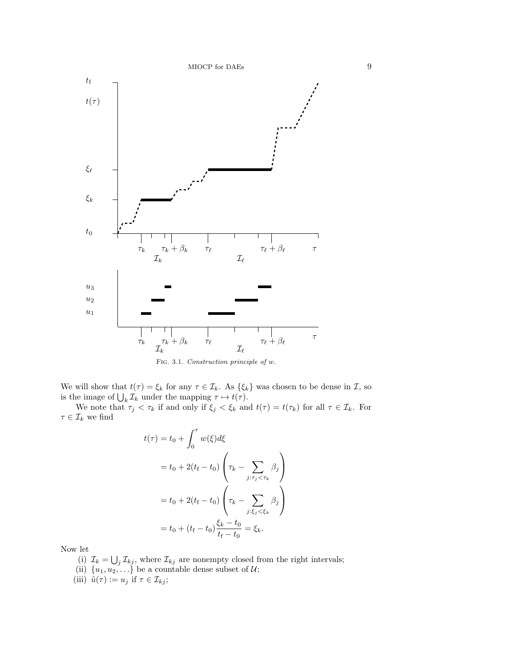



We will show that  $t(\tau) = \xi_k$  for any  $\tau \in \mathcal{I}_k$ . As  $\{\xi_k\}$  was chosen to be dense in  $\mathcal{I}$ , so is the image of  $\bigcup_k \mathcal{I}_k$  under the mapping  $\tau \mapsto t(\tau)$ .

We note that  $\tau_j < \tau_k$  if and only if  $\xi_j < \xi_k$  and  $t(\tau) = t(\tau_k)$  for all  $\tau \in \mathcal{I}_k$ . For  $\tau \in \mathcal{I}_k$  we find

$$
t(\tau) = t_0 + \int_0^{\tau} w(\xi) d\xi
$$
  
=  $t_0 + 2(t_f - t_0) \left( \tau_k - \sum_{j: \tau_j < \tau_k} \beta_j \right)$   
=  $t_0 + 2(t_f - t_0) \left( \tau_k - \sum_{j: \xi_j < \xi_k} \beta_j \right)$   
=  $t_0 + (t_f - t_0) \frac{\xi_k - t_0}{t_f - t_0} = \xi_k$ .

Now let

- (i)  $\mathcal{I}_k = \bigcup_j \mathcal{I}_{kj}$ , where  $\mathcal{I}_{kj}$  are nonempty closed from the right intervals;
- (ii)  $\{u_1, u_2, \ldots\}$  be a countable dense subset of  $\mathcal{U}$ ;
- (iii)  $\tilde{u}(\tau) := u_j$  if  $\tau \in \mathcal{I}_{kj}$ ;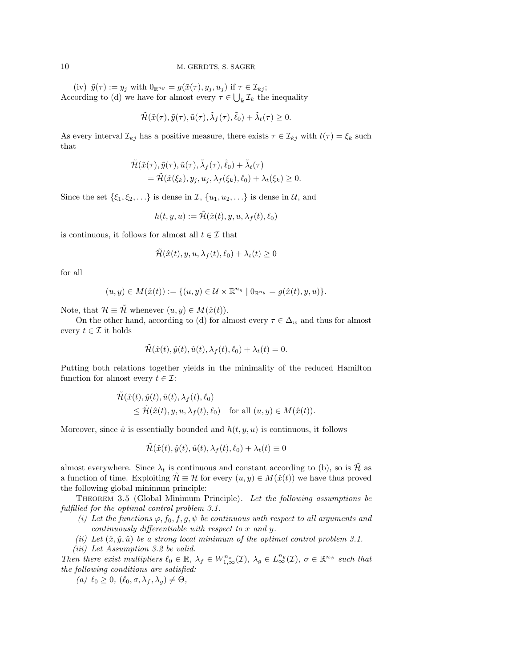(iv)  $\tilde{y}(\tau) := y_j$  with  $0_{\mathbb{R}^{n_y}} = g(\tilde{x}(\tau), y_j, u_j)$  if  $\tau \in \mathcal{I}_{kj}$ ; According to (d) we have for almost every  $\tau \in \bigcup_k \mathcal{I}_k$  the inequality

$$
\tilde{\mathcal{H}}(\tilde{x}(\tau), \tilde{y}(\tau), \tilde{u}(\tau), \tilde{\lambda}_f(\tau), \tilde{\ell}_0) + \tilde{\lambda}_t(\tau) \geq 0.
$$

As every interval  $\mathcal{I}_{kj}$  has a positive measure, there exists  $\tau \in \mathcal{I}_{kj}$  with  $t(\tau) = \xi_k$  such that

$$
\tilde{\mathcal{H}}(\tilde{x}(\tau), \tilde{y}(\tau), \tilde{u}(\tau), \tilde{\lambda}_f(\tau), \tilde{\ell}_0) + \tilde{\lambda}_t(\tau) \n= \tilde{\mathcal{H}}(\hat{x}(\xi_k), y_j, u_j, \lambda_f(\xi_k), \ell_0) + \lambda_t(\xi_k) \ge 0.
$$

Since the set  $\{\xi_1, \xi_2, \ldots\}$  is dense in  $\mathcal{I}, \{u_1, u_2, \ldots\}$  is dense in  $\mathcal{U},$  and

$$
h(t, y, u) := \tilde{\mathcal{H}}(\hat{x}(t), y, u, \lambda_f(t), \ell_0)
$$

is continuous, it follows for almost all  $t \in \mathcal{I}$  that

$$
\tilde{\mathcal{H}}(\hat{x}(t), y, u, \lambda_f(t), \ell_0) + \lambda_t(t) \ge 0
$$

for all

$$
(u, y) \in M(\hat{x}(t)) := \{(u, y) \in \mathcal{U} \times \mathbb{R}^{n_y} \mid 0_{\mathbb{R}^{n_y}} = g(\hat{x}(t), y, u)\}.
$$

Note, that  $\mathcal{H} \equiv \tilde{\mathcal{H}}$  whenever  $(u, y) \in M(\hat{x}(t)).$ 

On the other hand, according to (d) for almost every  $\tau \in \Delta_w$  and thus for almost every  $t \in \mathcal{I}$  it holds

$$
\tilde{\mathcal{H}}(\hat{x}(t),\hat{y}(t),\hat{u}(t),\lambda_{f}(t),\ell_{0})+\lambda_{t}(t)=0.
$$

Putting both relations together yields in the minimality of the reduced Hamilton function for almost every  $t \in \mathcal{I}$ :

$$
\tilde{\mathcal{H}}(\hat{x}(t), \hat{y}(t), \hat{u}(t), \lambda_f(t), \ell_0) \leq \tilde{\mathcal{H}}(\hat{x}(t), y, u, \lambda_f(t), \ell_0) \quad \text{for all } (u, y) \in M(\hat{x}(t)).
$$

Moreover, since  $\hat{u}$  is essentially bounded and  $h(t, y, u)$  is continuous, it follows

$$
\tilde{\mathcal{H}}(\hat{x}(t), \hat{y}(t), \hat{u}(t), \lambda_f(t), \ell_0) + \lambda_t(t) \equiv 0
$$

almost everywhere. Since  $\lambda_t$  is continuous and constant according to (b), so is  $\tilde{\mathcal{H}}$  as a function of time. Exploiting  $\mathcal{H} \equiv \mathcal{H}$  for every  $(u, y) \in M(\hat{x}(t))$  we have thus proved the following global minimum principle:

Theorem 3.5 (Global Minimum Principle). Let the following assumptions be fulfilled for the optimal control problem 3.1.

- (i) Let the functions  $\varphi$ ,  $f_0$ ,  $f$ ,  $g$ ,  $\psi$  be continuous with respect to all arguments and continuously differentiable with respect to x and y.
- (ii) Let  $(\hat{x}, \hat{y}, \hat{u})$  be a strong local minimum of the optimal control problem 3.1.
- (iii) Let Assumption 3.2 be valid.

Then there exist multipliers  $\ell_0 \in \mathbb{R}$ ,  $\lambda_f \in W^{n_x}_{1,\infty}(\mathcal{I})$ ,  $\lambda_g \in L^{n_y}_{\infty}(\mathcal{I})$ ,  $\sigma \in \mathbb{R}^{n_{\psi}}$  such that the following conditions are satisfied:

(a)  $\ell_0 \geq 0$ ,  $(\ell_0, \sigma, \lambda_f, \lambda_q) \neq \Theta$ ,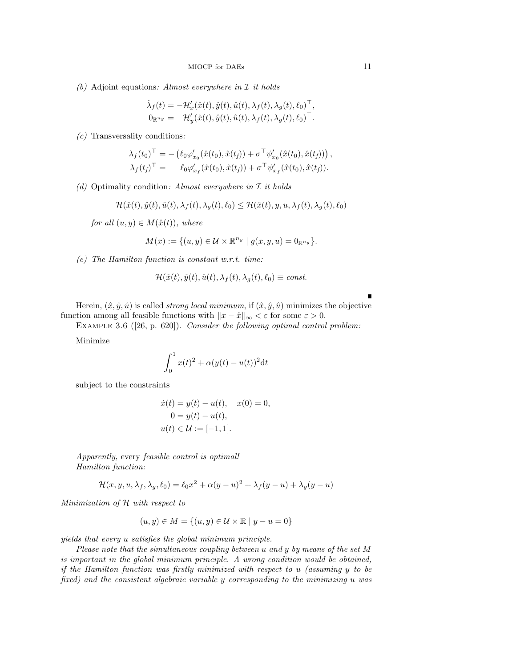(b) Adjoint equations: Almost everywhere in  $\mathcal I$  it holds

$$
\begin{array}{lll} \dot{\lambda}_f(t)=-\mathcal{H}_x'(\hat{x}(t),\hat{y}(t),\hat{u}(t),\lambda_f(t),\lambda_g(t),\ell_0)^\top,\\ 0_{\mathbb{R}^{n_y}}=&\mathcal{H}_y'(\hat{x}(t),\hat{y}(t),\hat{u}(t),\lambda_f(t),\lambda_g(t),\ell_0)^\top. \end{array}
$$

 $(c)$  Transversality conditions:

$$
\lambda_f(t_0)^{\top} = - \left( \ell_0 \varphi'_{x_0}(\hat{x}(t_0), \hat{x}(t_f)) + \sigma^{\top} \psi'_{x_0}(\hat{x}(t_0), \hat{x}(t_f)) \right), \n\lambda_f(t_f)^{\top} = \ell_0 \varphi'_{x_f}(\hat{x}(t_0), \hat{x}(t_f)) + \sigma^{\top} \psi'_{x_f}(\hat{x}(t_0), \hat{x}(t_f)).
$$

(d) Optimality condition: Almost everywhere in  $\mathcal I$  it holds

$$
\mathcal{H}(\hat{x}(t), \hat{y}(t), \hat{u}(t), \lambda_f(t), \lambda_g(t), \ell_0) \leq \mathcal{H}(\hat{x}(t), y, u, \lambda_f(t), \lambda_g(t), \ell_0)
$$

for all  $(u, y) \in M(\hat{x}(t))$ , where

$$
M(x) := \{(u, y) \in \mathcal{U} \times \mathbb{R}^{n_y} \mid g(x, y, u) = 0_{\mathbb{R}^{n_y}}\}.
$$

(e) The Hamilton function is constant w.r.t. time:

$$
\mathcal{H}(\hat{x}(t), \hat{y}(t), \hat{u}(t), \lambda_f(t), \lambda_g(t), \ell_0) \equiv \text{const.}
$$

Herein,  $(\hat{x}, \hat{y}, \hat{u})$  is called *strong local minimum*, if  $(\hat{x}, \hat{y}, \hat{u})$  minimizes the objective function among all feasible functions with  $||x - \hat{x}||_{\infty} < \varepsilon$  for some  $\varepsilon > 0$ .

EXAMPLE 3.6 ([26, p. 620]). Consider the following optimal control problem:

Minimize

$$
\int_0^1 x(t)^2 + \alpha(y(t) - u(t))^2 dt
$$

subject to the constraints

$$
\dot{x}(t) = y(t) - u(t), \quad x(0) = 0, \n0 = y(t) - u(t), \nu(t) \in \mathcal{U} := [-1, 1].
$$

Apparently, every feasible control is optimal! Hamilton function:

$$
\mathcal{H}(x, y, u, \lambda_f, \lambda_g, \ell_0) = \ell_0 x^2 + \alpha (y - u)^2 + \lambda_f (y - u) + \lambda_g (y - u)
$$

Minimization of H with respect to

$$
(u, y) \in M = \{(u, y) \in \mathcal{U} \times \mathbb{R} \mid y - u = 0\}
$$

yields that every u satisfies the global minimum principle.

Please note that the simultaneous coupling between u and y by means of the set M is important in the global minimum principle. A wrong condition would be obtained, if the Hamilton function was firstly minimized with respect to u (assuming y to be fixed) and the consistent algebraic variable y corresponding to the minimizing u was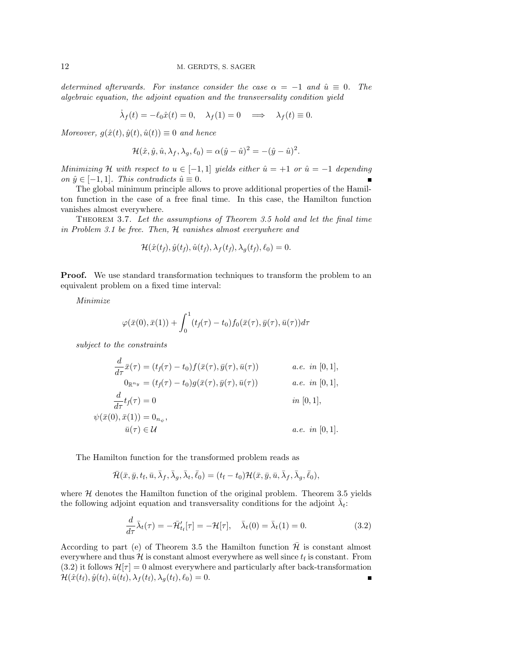determined afterwards. For instance consider the case  $\alpha = -1$  and  $\hat{u} \equiv 0$ . The algebraic equation, the adjoint equation and the transversality condition yield

$$
\dot{\lambda}_f(t) = -\ell_0 \hat{x}(t) = 0, \quad \lambda_f(1) = 0 \quad \Longrightarrow \quad \lambda_f(t) \equiv 0.
$$

Moreover,  $g(\hat{x}(t), \hat{y}(t), \hat{u}(t)) \equiv 0$  and hence

$$
\mathcal{H}(\hat{x}, \hat{y}, \hat{u}, \lambda_f, \lambda_g, \ell_0) = \alpha(\hat{y} - \hat{u})^2 = -(\hat{y} - \hat{u})^2.
$$

Minimizing H with respect to  $u \in [-1,1]$  yields either  $\hat{u} = +1$  or  $\hat{u} = -1$  depending on  $\hat{y} \in [-1, 1]$ . This contradicts  $\hat{u} \equiv 0$ .

The global minimum principle allows to prove additional properties of the Hamilton function in the case of a free final time. In this case, the Hamilton function vanishes almost everywhere.

Theorem 3.7. Let the assumptions of Theorem 3.5 hold and let the final time in Problem 3.1 be free. Then, H vanishes almost everywhere and

$$
\mathcal{H}(\hat{x}(t_f), \hat{y}(t_f), \hat{u}(t_f), \lambda_f(t_f), \lambda_g(t_f), \ell_0) = 0.
$$

**Proof.** We use standard transformation techniques to transform the problem to an equivalent problem on a fixed time interval:

Minimize

$$
\varphi(\bar{x}(0),\bar{x}(1))+\int_0^1(t_f(\tau)-t_0)f_0(\bar{x}(\tau),\bar{y}(\tau),\bar{u}(\tau))d\tau
$$

subject to the constraints

$$
\frac{d}{d\tau}\bar{x}(\tau) = (t_f(\tau) - t_0)f(\bar{x}(\tau), \bar{y}(\tau), \bar{u}(\tau)) \qquad a.e. \text{ in } [0, 1],
$$
  
\n
$$
0_{\mathbb{R}^{n_y}} = (t_f(\tau) - t_0)g(\bar{x}(\tau), \bar{y}(\tau), \bar{u}(\tau)) \qquad a.e. \text{ in } [0, 1],
$$

$$
\frac{d}{d\tau}t_f(\tau) = 0
$$
 in [0, 1],  
\n
$$
\psi(\bar{x}(0), \bar{x}(1)) = 0_{n_{\psi}},
$$
  
\n
$$
\bar{u}(\tau) \in \mathcal{U}
$$
 a.e. in [0, 1].

The Hamilton function for the transformed problem reads as

$$
\bar{\mathcal{H}}(\bar{x},\bar{y},t_{\mathrm{f}},\bar{u},\bar{\lambda}_{f},\bar{\lambda}_{g},\bar{\lambda}_{t},\bar{\ell}_{0})=(t_{\mathrm{f}}-t_{0})\mathcal{H}(\bar{x},\bar{y},\bar{u},\bar{\lambda}_{f},\bar{\lambda}_{g},\bar{\ell}_{0}),
$$

where  $H$  denotes the Hamilton function of the original problem. Theorem 3.5 yields the following adjoint equation and transversality conditions for the adjoint  $\bar{\lambda}_t$ :

$$
\frac{d}{d\tau}\bar{\lambda}_t(\tau) = -\bar{\mathcal{H}}'_{t_f}[\tau] = -\mathcal{H}[\tau], \quad \bar{\lambda}_t(0) = \bar{\lambda}_t(1) = 0.
$$
\n(3.2)

According to part (e) of Theorem 3.5 the Hamilton function  $H$  is constant almost everywhere and thus  $\mathcal H$  is constant almost everywhere as well since  $t_f$  is constant. From  $(3.2)$  it follows  $\mathcal{H}[\tau] = 0$  almost everywhere and particularly after back-transformation  $\mathcal{H}(\hat{x}(t_{\rm f}), \hat{y}(t_{\rm f}), \hat{u}(t_{\rm f}), \lambda_{f}(t_{\rm f}), \lambda_{g}(t_{\rm f}), \ell_0) = 0.$  $\blacksquare$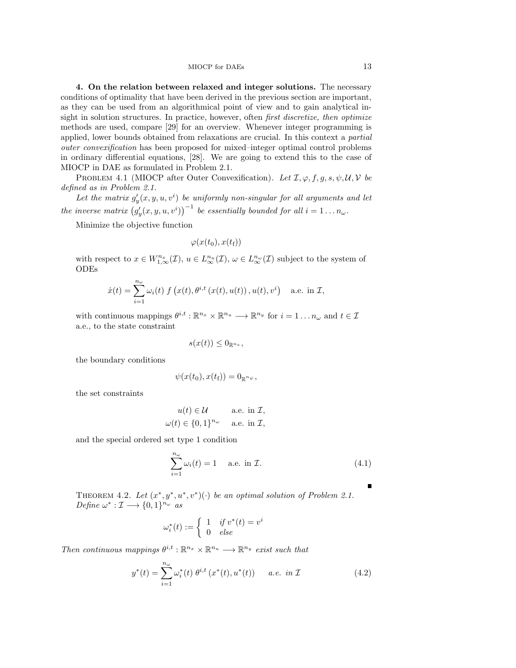4. On the relation between relaxed and integer solutions. The necessary conditions of optimality that have been derived in the previous section are important, as they can be used from an algorithmical point of view and to gain analytical insight in solution structures. In practice, however, often *first discretize*, *then optimize* methods are used, compare [29] for an overview. Whenever integer programming is applied, lower bounds obtained from relaxations are crucial. In this context a partial outer convexification has been proposed for mixed–integer optimal control problems in ordinary differential equations, [28]. We are going to extend this to the case of MIOCP in DAE as formulated in Problem 2.1.

PROBLEM 4.1 (MIOCP after Outer Convexification). Let  $\mathcal{I}, \varphi, f, g, s, \psi, \mathcal{U}, \mathcal{V}$  be defined as in Problem 2.1.

Let the matrix  $g'_y(x, y, u, v^i)$  be uniformly non-singular for all arguments and let the inverse matrix  $(g'_y(x, y, u, v^i))^{-1}$  be essentially bounded for all  $i = 1...n_\omega$ .

Minimize the objective function

$$
\varphi(x(t_0),x(t_\text{f}))
$$

with respect to  $x \in W^{n_x}_{1,\infty}(\mathcal{I}), u \in L^{n_u}(\mathcal{I}), \omega \in L^{n_\omega}(\mathcal{I})$  subject to the system of ODEs

$$
\dot{x}(t) = \sum_{i=1}^{n_{\omega}} \omega_i(t) f\left(x(t), \theta^{i,t}\left(x(t), u(t)\right), u(t), v^i\right) \quad \text{a.e. in } \mathcal{I},
$$

with continuous mappings  $\theta^{i,t} : \mathbb{R}^{n_x} \times \mathbb{R}^{n_u} \longrightarrow \mathbb{R}^{n_y}$  for  $i = 1 \dots n_\omega$  and  $t \in \mathcal{I}$ a.e., to the state constraint

$$
s(x(t)) \leq 0_{\mathbb{R}^{n_s}},
$$

the boundary conditions

$$
\psi(x(t_0),x(t_{\mathrm{f}}))=0_{\mathbb{R}^{n_{\psi}}},
$$

the set constraints

$$
u(t) \in \mathcal{U} \quad \text{a.e. in } \mathcal{I},
$$
  

$$
\omega(t) \in \{0, 1\}^{n_{\omega}} \quad \text{a.e. in } \mathcal{I},
$$

and the special ordered set type 1 condition

$$
\sum_{i=1}^{n_{\omega}} \omega_i(t) = 1 \quad \text{a.e. in } \mathcal{I}. \tag{4.1}
$$

THEOREM 4.2. Let  $(x^*, y^*, u^*, v^*)(\cdot)$  be an optimal solution of Problem 2.1. Define  $\omega^*: \mathcal{I} \longrightarrow \{0,1\}^{n_{\omega}}$  as

$$
\omega_i^*(t):=\left\{\begin{array}{ll} 1 & \textit{if $v^*(t)=v^i$} \\ 0 & \textit{else} \end{array}\right.
$$

Then continuous mappings  $\theta^{i,t} : \mathbb{R}^{n_x} \times \mathbb{R}^{n_u} \longrightarrow \mathbb{R}^{n_y}$  exist such that

$$
y^*(t) = \sum_{i=1}^{n_{\omega}} \omega_i^*(t) \; \theta^{i,t} \left( x^*(t), u^*(t) \right) \qquad a.e. \; in \; \mathcal{I} \tag{4.2}
$$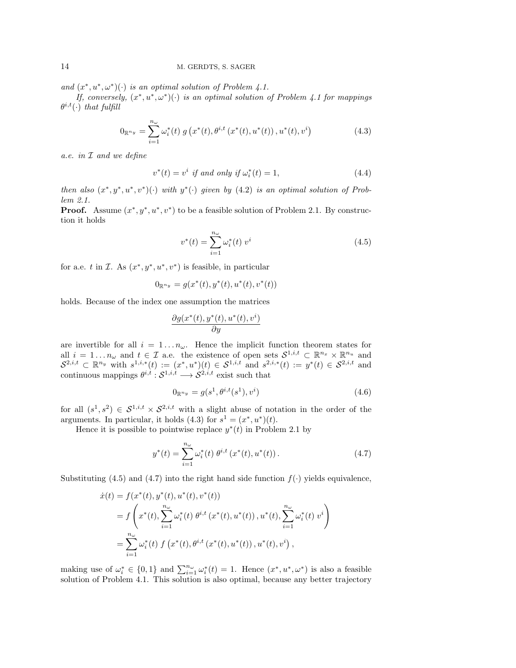and  $(x^*, u^*, \omega^*)(\cdot)$  is an optimal solution of Problem 4.1.

If, conversely,  $(x^*, u^*, \omega^*)(\cdot)$  is an optimal solution of Problem 4.1 for mappings  $\theta^{i,t}(\cdot)$  that fulfill

$$
0_{\mathbb{R}^{n_y}} = \sum_{i=1}^{n_\omega} \omega_i^*(t) \ g\left(x^*(t), \theta^{i,t}\left(x^*(t), u^*(t)\right), u^*(t), v^i\right) \tag{4.3}
$$

a.e. in I and we define

$$
v^*(t) = v^i \text{ if and only if } \omega_i^*(t) = 1,
$$
\n
$$
(4.4)
$$

then also  $(x^*, y^*, u^*, v^*)$  ( $\cdot$ ) with  $y^*(\cdot)$  given by (4.2) is an optimal solution of Problem 2.1.

**Proof.** Assume  $(x^*, y^*, u^*, v^*)$  to be a feasible solution of Problem 2.1. By construction it holds

$$
v^*(t) = \sum_{i=1}^{n_{\omega}} \omega_i^*(t) \ v^i \tag{4.5}
$$

for a.e. t in  $\mathcal{I}$ . As  $(x^*, y^*, u^*, v^*)$  is feasible, in particular

$$
0_{\mathbb{R}^{n_y}} = g(x^*(t), y^*(t), u^*(t), v^*(t))
$$

holds. Because of the index one assumption the matrices

$$
\frac{\partial g(x^*(t),y^*(t),u^*(t),v^i)}{\partial y}
$$

are invertible for all  $i = 1 \dots n_{\omega}$ . Hence the implicit function theorem states for all  $i = 1 \dots n_\omega$  and  $t \in \mathcal{I}$  a.e. the existence of open sets  $\mathcal{S}^{1,i,t} \subset \mathbb{R}^{n_x} \times \mathbb{R}^{n_u}$  and  $S^{2,i,t} \subset \mathbb{R}^{n_y}$  with  $s^{1,i,*}(t) := (x^*, u^*)(t) \in S^{1,i,t}$  and  $s^{2,i,*}(t) := y^*(t) \in S^{2,i,t}$  and continuous mappings  $\theta^{i,t}: \mathcal{S}^{1,i,t} \longrightarrow \mathcal{S}^{2,i,t}$  exist such that

$$
0_{\mathbb{R}^{n_y}} = g(s^1, \theta^{i,t}(s^1), v^i)
$$
\n(4.6)

for all  $(s^1, s^2) \in S^{1,i,t} \times S^{2,i,t}$  with a slight abuse of notation in the order of the arguments. In particular, it holds  $(4.3)$  for  $s<sup>1</sup> = (x^*, u^*)(t)$ .

Hence it is possible to pointwise replace  $y^*(t)$  in Problem 2.1 by

$$
y^*(t) = \sum_{i=1}^{n_{\omega}} \omega_i^*(t) \; \theta^{i,t} \left( x^*(t), u^*(t) \right). \tag{4.7}
$$

Substituting (4.5) and (4.7) into the right hand side function  $f(\cdot)$  yields equivalence,

$$
\begin{split} \dot{x}(t) &= f(x^*(t), y^*(t), u^*(t), v^*(t)) \\ &= f\left(x^*(t), \sum_{i=1}^{n_\omega} \omega_i^*(t) \ \theta^{i,t} \left(x^*(t), u^*(t)\right), u^*(t), \sum_{i=1}^{n_\omega} \omega_i^*(t) \ v^i\right) \\ &= \sum_{i=1}^{n_\omega} \omega_i^*(t) \ f\left(x^*(t), \theta^{i,t} \left(x^*(t), u^*(t)\right), u^*(t), v^i\right), \end{split}
$$

making use of  $\omega_i^* \in \{0,1\}$  and  $\sum_{i=1}^{n_{\omega}} \omega_i^*(t) = 1$ . Hence  $(x^*, u^*, \omega^*)$  is also a feasible solution of Problem 4.1. This solution is also optimal, because any better trajectory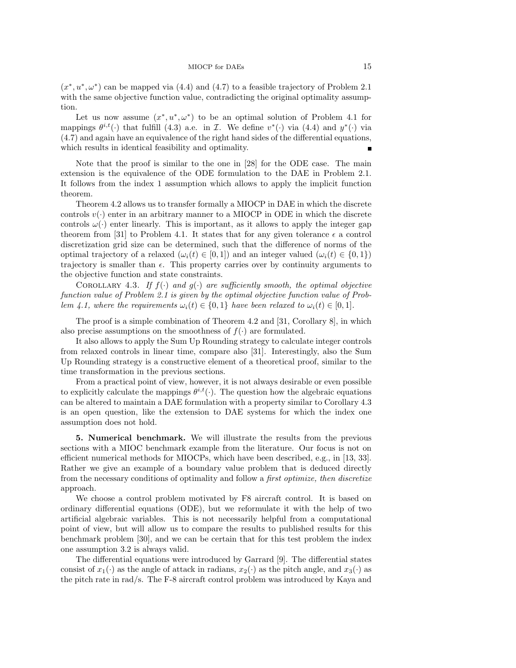$(x^*, u^*, \omega^*)$  can be mapped via (4.4) and (4.7) to a feasible trajectory of Problem 2.1 with the same objective function value, contradicting the original optimality assumption.

Let us now assume  $(x^*, u^*, \omega^*)$  to be an optimal solution of Problem 4.1 for mappings  $\theta^{i,t}(\cdot)$  that fulfill (4.3) a.e. in *I*. We define  $v^*(\cdot)$  via (4.4) and  $y^*(\cdot)$  via (4.7) and again have an equivalence of the right hand sides of the differential equations, which results in identical feasibility and optimality.

Note that the proof is similar to the one in [28] for the ODE case. The main extension is the equivalence of the ODE formulation to the DAE in Problem 2.1. It follows from the index 1 assumption which allows to apply the implicit function theorem.

Theorem 4.2 allows us to transfer formally a MIOCP in DAE in which the discrete controls  $v(\cdot)$  enter in an arbitrary manner to a MIOCP in ODE in which the discrete controls  $\omega(\cdot)$  enter linearly. This is important, as it allows to apply the integer gap theorem from [31] to Problem 4.1. It states that for any given tolerance  $\epsilon$  a control discretization grid size can be determined, such that the difference of norms of the optimal trajectory of a relaxed  $(\omega_i(t) \in [0,1])$  and an integer valued  $(\omega_i(t) \in \{0,1\})$ trajectory is smaller than  $\epsilon$ . This property carries over by continuity arguments to the objective function and state constraints.

COROLLARY 4.3. If  $f(\cdot)$  and  $g(\cdot)$  are sufficiently smooth, the optimal objective function value of Problem 2.1 is given by the optimal objective function value of Problem 4.1, where the requirements  $\omega_i(t) \in \{0,1\}$  have been relaxed to  $\omega_i(t) \in [0,1]$ .

The proof is a simple combination of Theorem 4.2 and [31, Corollary 8], in which also precise assumptions on the smoothness of  $f(\cdot)$  are formulated.

It also allows to apply the Sum Up Rounding strategy to calculate integer controls from relaxed controls in linear time, compare also [31]. Interestingly, also the Sum Up Rounding strategy is a constructive element of a theoretical proof, similar to the time transformation in the previous sections.

From a practical point of view, however, it is not always desirable or even possible to explicitly calculate the mappings  $\theta^{i,t}(\cdot)$ . The question how the algebraic equations can be altered to maintain a DAE formulation with a property similar to Corollary 4.3 is an open question, like the extension to DAE systems for which the index one assumption does not hold.

5. Numerical benchmark. We will illustrate the results from the previous sections with a MIOC benchmark example from the literature. Our focus is not on efficient numerical methods for MIOCPs, which have been described, e.g., in [13, 33]. Rather we give an example of a boundary value problem that is deduced directly from the necessary conditions of optimality and follow a first optimize, then discretize approach.

We choose a control problem motivated by F8 aircraft control. It is based on ordinary differential equations (ODE), but we reformulate it with the help of two artificial algebraic variables. This is not necessarily helpful from a computational point of view, but will allow us to compare the results to published results for this benchmark problem [30], and we can be certain that for this test problem the index one assumption 3.2 is always valid.

The differential equations were introduced by Garrard [9]. The differential states consist of  $x_1(\cdot)$  as the angle of attack in radians,  $x_2(\cdot)$  as the pitch angle, and  $x_3(\cdot)$  as the pitch rate in rad/s. The F-8 aircraft control problem was introduced by Kaya and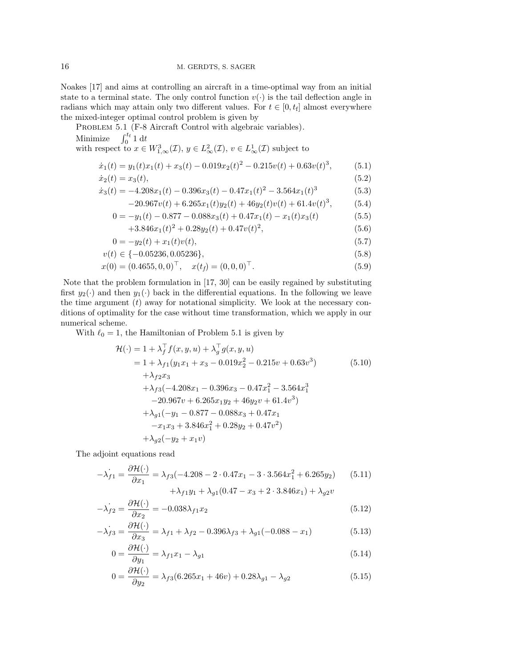Noakes [17] and aims at controlling an aircraft in a time-optimal way from an initial state to a terminal state. The only control function  $v(\cdot)$  is the tail deflection angle in radians which may attain only two different values. For  $t \in [0, t_f]$  almost everywhere the mixed-integer optimal control problem is given by

PROBLEM 5.1 (F-8 Aircraft Control with algebraic variables). Minimize  $\int_0^{t_f} 1 dt$ with respect to  $x \in W^3_{1,\infty}(\mathcal{I}), y \in L^2_{\infty}(\mathcal{I}), v \in L^1_{\infty}(\mathcal{I})$  subject to  $\dot{x}_1(t) = y_1(t)x_1(t) + x_3(t) - 0.019x_2(t)^2 - 0.215v(t) + 0.63v(t)^3$ 

$$
\dot{x}_1(t) = x_3(t),
$$
\n(5.2)

$$
\dot{x}_3(t) = -4.208x_1(t) - 0.396x_3(t) - 0.47x_1(t)^2 - 3.564x_1(t)^3 \tag{5.3}
$$

$$
-20.967v(t) + 6.265x_1(t)y_2(t) + 46y_2(t)v(t) + 61.4v(t)^3,
$$
 (5.4)

 $(5.1)$ 

$$
0 = -y_1(t) - 0.877 - 0.088x_3(t) + 0.47x_1(t) - x_1(t)x_3(t)
$$
\n(5.5)

$$
+3.846x_1(t)^2 + 0.28y_2(t) + 0.47v(t)^2,
$$
\n(5.6)

$$
0 = -y_2(t) + x_1(t)v(t),
$$
\n(5.7)

$$
v(t) \in \{-0.05236, 0.05236\},\tag{5.8}
$$

$$
x(0) = (0.4655, 0, 0)^{\top}, \quad x(t_f) = (0, 0, 0)^{\top}.
$$
 (5.9)

Note that the problem formulation in [17, 30] can be easily regained by substituting first  $y_2(\cdot)$  and then  $y_1(\cdot)$  back in the differential equations. In the following we leave the time argument  $(t)$  away for notational simplicity. We look at the necessary conditions of optimality for the case without time transformation, which we apply in our numerical scheme.

With  $\ell_0 = 1$ , the Hamiltonian of Problem 5.1 is given by

$$
\mathcal{H}(\cdot) = 1 + \lambda_f^{\top} f(x, y, u) + \lambda_g^{\top} g(x, y, u)
$$
  
\n
$$
= 1 + \lambda_{f1}(y_1 x_1 + x_3 - 0.019x_2^2 - 0.215v + 0.63v^3)
$$
(5.10)  
\n
$$
+ \lambda_{f2} x_3
$$
  
\n
$$
+ \lambda_{f3}(-4.208x_1 - 0.396x_3 - 0.47x_1^2 - 3.564x_1^3
$$
  
\n
$$
-20.967v + 6.265x_1 y_2 + 46y_2 v + 61.4v^3)
$$
  
\n
$$
+ \lambda_{g1}(-y_1 - 0.877 - 0.088x_3 + 0.47x_1
$$
  
\n
$$
-x_1 x_3 + 3.846x_1^2 + 0.28y_2 + 0.47v^2)
$$
  
\n
$$
+ \lambda_{g2}(-y_2 + x_1 v)
$$
 (5.10)

The adjoint equations read

$$
-\lambda_{f1} = \frac{\partial \mathcal{H}(\cdot)}{\partial x_1} = \lambda_{f3}(-4.208 - 2 \cdot 0.47x_1 - 3 \cdot 3.564x_1^2 + 6.265y_2)
$$
(5.11)  
 
$$
+\lambda_{f1}y_1 + \lambda_{g1}(0.47 - x_3 + 2 \cdot 3.846x_1) + \lambda_{g2}v
$$

$$
-\dot{\lambda}_{f2} = \frac{\partial \mathcal{H}(\cdot)}{\partial x_2} = -0.038 \lambda_{f1} x_2 \tag{5.12}
$$

$$
-\lambda_{f3} = \frac{\partial \mathcal{H}(\cdot)}{\partial x_3} = \lambda_{f1} + \lambda_{f2} - 0.396\lambda_{f3} + \lambda_{g1}(-0.088 - x_1)
$$
(5.13)

$$
0 = \frac{\partial \mathcal{H}(\cdot)}{\partial y_1} = \lambda_{f1} x_1 - \lambda_{g1} \tag{5.14}
$$

$$
0 = \frac{\partial \mathcal{H}(\cdot)}{\partial y_2} = \lambda_{f3}(6.265x_1 + 46v) + 0.28\lambda_{g1} - \lambda_{g2}
$$
\n(5.15)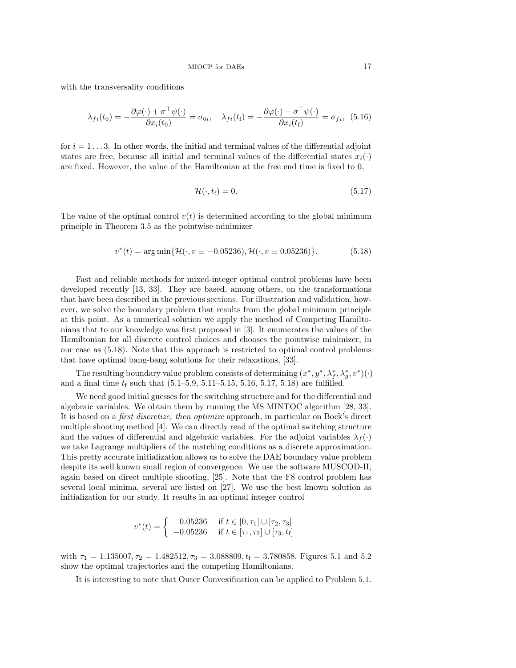with the transversality conditions

$$
\lambda_{fi}(t_0) = -\frac{\partial \varphi(\cdot) + \sigma^{\top} \psi(\cdot)}{\partial x_i(t_0)} = \sigma_{0i}, \quad \lambda_{fi}(t_f) = -\frac{\partial \varphi(\cdot) + \sigma^{\top} \psi(\cdot)}{\partial x_i(t_f)} = \sigma_{fi}, \tag{5.16}
$$

for  $i = 1 \ldots 3$ . In other words, the initial and terminal values of the differential adjoint states are free, because all initial and terminal values of the differential states  $x_i(\cdot)$ are fixed. However, the value of the Hamiltonian at the free end time is fixed to 0,

$$
\mathcal{H}(\cdot, t_{\mathbf{f}}) = 0. \tag{5.17}
$$

The value of the optimal control  $v(t)$  is determined according to the global minimum principle in Theorem 3.5 as the pointwise minimizer

$$
v^*(t) = \arg\min\{\mathcal{H}(\cdot, v \equiv -0.05236), \mathcal{H}(\cdot, v \equiv 0.05236)\}.
$$
 (5.18)

Fast and reliable methods for mixed-integer optimal control problems have been developed recently [13, 33]. They are based, among others, on the transformations that have been described in the previous sections. For illustration and validation, however, we solve the boundary problem that results from the global minimum principle at this point. As a numerical solution we apply the method of Competing Hamiltonians that to our knowledge was first proposed in [3]. It enumerates the values of the Hamiltonian for all discrete control choices and chooses the pointwise minimizer, in our case as (5.18). Note that this approach is restricted to optimal control problems that have optimal bang-bang solutions for their relaxations, [33].

The resulting boundary value problem consists of determining  $(x^*, y^*, \lambda_f^*, \lambda_g^*, v^*)(\cdot)$ and a final time  $t_f$  such that  $(5.1-5.9, 5.11-5.15, 5.16, 5.17, 5.18)$  are fulfilled.

We need good initial guesses for the switching structure and for the differential and algebraic variables. We obtain them by running the MS MINTOC algorithm [28, 33]. It is based on a first discretize, then optimize approach, in particular on Bock's direct multiple shooting method [4]. We can directly read of the optimal switching structure and the values of differential and algebraic variables. For the adjoint variables  $\lambda_f(\cdot)$ we take Lagrange multipliers of the matching conditions as a discrete approximation. This pretty accurate initialization allows us to solve the DAE boundary value problem despite its well known small region of convergence. We use the software MUSCOD-II, again based on direct multiple shooting, [25]. Note that the F8 control problem has several local minima, several are listed on [27]. We use the best known solution as initialization for our study. It results in an optimal integer control

$$
v^*(t) = \begin{cases} 0.05236 & \text{if } t \in [0, \tau_1] \cup [\tau_2, \tau_3] \\ -0.05236 & \text{if } t \in [\tau_1, \tau_2] \cup [\tau_3, t_f] \end{cases}
$$

with  $\tau_1 = 1.135007, \tau_2 = 1.482512, \tau_3 = 3.088809, t_f = 3.780858$ . Figures 5.1 and 5.2 show the optimal trajectories and the competing Hamiltonians.

It is interesting to note that Outer Convexification can be applied to Problem 5.1.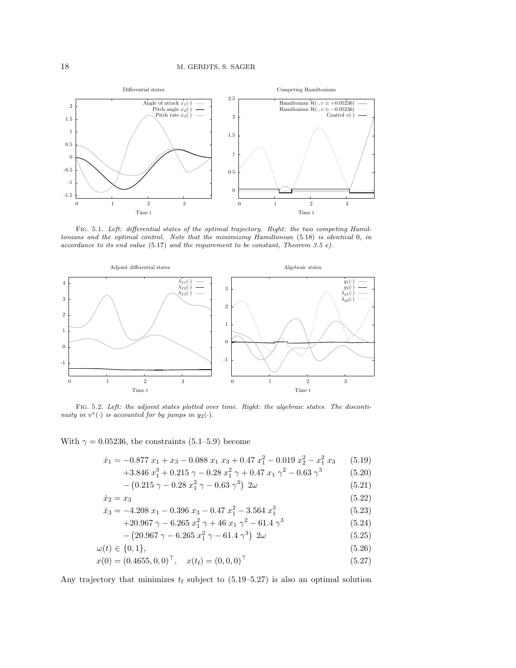

Fig. 5.1. Left: differential states of the optimal trajectory. Right: the two competing Hamiltonians and the optimal control. Note that the minimizing Hamiltonian (5.18) is identical 0, in accordance to its end value  $(5.17)$  and the requirement to be constant, Theorem 3.5 e).



Fig. 5.2. Left: the adjoint states plotted over time. Right: the algebraic states. The discontinuity in  $v^*(\cdot)$  is accounted for by jumps in  $y_2(\cdot)$ .

With  $\gamma = 0.05236$ , the constraints (5.1–5.9) become

$$
\dot{x}_1 = -0.877 \ x_1 + x_3 - 0.088 \ x_1 \ x_3 + 0.47 \ x_1^2 - 0.019 \ x_2^2 - x_1^2 \ x_3 \tag{5.19}
$$
\n
$$
+3.846 \ x_1^3 + 0.215 \ \alpha - 0.28 \ x_1^2 \ \alpha + 0.47 \ x_1 \ \alpha^2 - 0.63 \ \alpha^3 \tag{5.20}
$$

+3.846 
$$
x_1^3
$$
 + 0.215  $\gamma$  - 0.28  $x_1^2$   $\gamma$  + 0.47  $x_1$   $\gamma^2$  - 0.63  $\gamma^3$  (5.20)

$$
-\left(0.215\ \gamma - 0.28\ x_1^2\ \gamma - 0.63\ \gamma^3\right)\ 2\omega\tag{5.21}
$$

$$
\dot{x}_2 = x_3 \tag{5.22}
$$
\n
$$
\dot{x}_2 = 4.208 \, \text{m} \quad 0.206 \, \text{m} \quad 0.47 \, \text{m}^2 \quad 2.564 \, \text{m}^3 \tag{5.23}
$$

$$
\begin{aligned}\n\dot{x}_3 &= -4.208 \ x_1 - 0.396 \ x_3 - 0.47 \ x_1^2 - 3.564 \ x_1^3 \\
&\quad +20.967 \ \gamma - 6.265 \ x_1^2 \ \gamma + 46 \ x_1 \ \gamma^2 - 61.4 \ \gamma^3\n\end{aligned}\n\tag{5.23}
$$

$$
-\left(20.967\ \gamma - 6.265\ x_1^2\ \gamma - 61.4\ \gamma^3\right)\ 2\omega\tag{5.25}
$$

$$
\omega(t) \in \{0, 1\},\tag{5.26}
$$

$$
x(0) = (0.4655, 0, 0)^{\top}, \quad x(t_f) = (0, 0, 0)^{\top}
$$
\n(5.27)

Any trajectory that minimizes  $t_f$  subject to  $(5.19-5.27)$  is also an optimal solution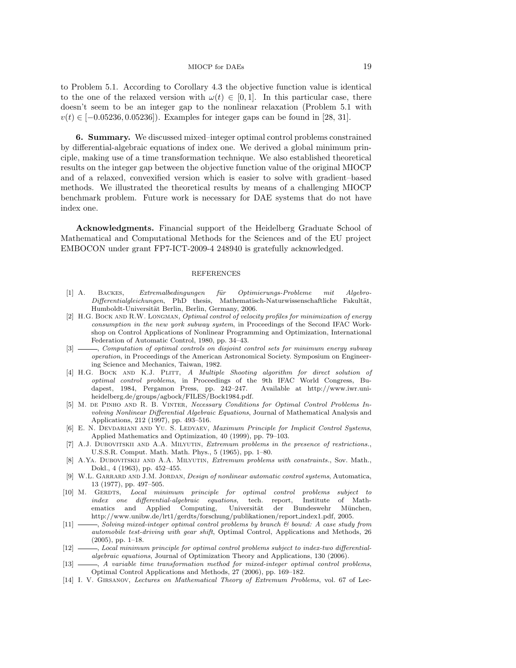to Problem 5.1. According to Corollary 4.3 the objective function value is identical to the one of the relaxed version with  $\omega(t) \in [0,1]$ . In this particular case, there doesn't seem to be an integer gap to the nonlinear relaxation (Problem 5.1 with  $v(t) \in [-0.05236, 0.05236]$ . Examples for integer gaps can be found in [28, 31].

6. Summary. We discussed mixed–integer optimal control problems constrained by differential-algebraic equations of index one. We derived a global minimum principle, making use of a time transformation technique. We also established theoretical results on the integer gap between the objective function value of the original MIOCP and of a relaxed, convexified version which is easier to solve with gradient–based methods. We illustrated the theoretical results by means of a challenging MIOCP benchmark problem. Future work is necessary for DAE systems that do not have index one.

Acknowledgments. Financial support of the Heidelberg Graduate School of Mathematical and Computational Methods for the Sciences and of the EU project EMBOCON under grant FP7-ICT-2009-4 248940 is gratefully acknowledged.

### REFERENCES

- [1] A. BACKES, Extremalbedingungen für Optimierungs-Probleme mit Algebro-Differentialgleichungen, PhD thesis, Mathematisch-Naturwissenschaftliche Fakultät, Humboldt-Universität Berlin, Berlin, Germany, 2006.
- [2] H.G. BOCK AND R.W. LONGMAN, *Optimal control of velocity profiles for minimization of energy* consumption in the new york subway system, in Proceedings of the Second IFAC Workshop on Control Applications of Nonlinear Programming and Optimization, International Federation of Automatic Control, 1980, pp. 34–43.
- [3]  $\longrightarrow$ , Computation of optimal controls on disjoint control sets for minimum energy subway operation, in Proceedings of the American Astronomical Society. Symposium on Engineering Science and Mechanics, Taiwan, 1982.
- [4] H.G. BOCK AND K.J. PLITT, A Multiple Shooting algorithm for direct solution of optimal control problems, in Proceedings of the 9th IFAC World Congress, Budapest, 1984, Pergamon Press, pp. 242–247. Available at http://www.iwr.uniheidelberg.de/groups/agbock/FILES/Bock1984.pdf.
- [5] M. de Pinho and R. B. Vinter, Necessary Conditions for Optimal Control Problems Involving Nonlinear Differential Algebraic Equations, Journal of Mathematical Analysis and Applications, 212 (1997), pp. 493–516.
- [6] E. N. DEVDARIANI AND YU. S. LEDYAEV, Maximum Principle for Implicit Control Systems, Applied Mathematics and Optimization, 40 (1999), pp. 79–103.
- [7] A.J. Dubovitskii and A.A. Milyutin, Extremum problems in the presence of restrictions., U.S.S.R. Comput. Math. Math. Phys., 5 (1965), pp. 1–80.
- [8] A.Ya. Dubovitskij and A.A. Milyutin, Extremum problems with constraints., Sov. Math., Dokl., 4 (1963), pp. 452–455.
- [9] W.L. GARRARD AND J.M. JORDAN, *Design of nonlinear automatic control systems*, Automatica, 13 (1977), pp. 497–505.
- [10] M. GERDTS, Local minimum principle for optimal control problems subject to index one differential-algebraic equations, tech. report, Institute of Mathematics and Applied Computing, Universität der Bundeswehr München, http://www.unibw.de/lrt1/gerdts/forschung/publikationen/report index1.pdf, 2005.
- [11] Solving mixed-integer optimal control problems by branch  $\mathcal B$  bound: A case study from automobile test-driving with gear shift, Optimal Control, Applications and Methods, 26  $(2005)$ , pp. 1–18.
- [12] , Local minimum principle for optimal control problems subject to index-two differentialalgebraic equations, Journal of Optimization Theory and Applications, 130 (2006).
- [13]  $\longrightarrow$ , A variable time transformation method for mixed-integer optimal control problems, Optimal Control Applications and Methods, 27 (2006), pp. 169–182.
- [14] I. V. Girsanov, Lectures on Mathematical Theory of Extremum Problems, vol. 67 of Lec-